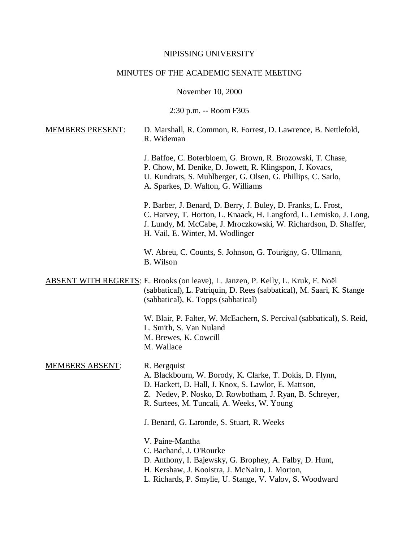#### NIPISSING UNIVERSITY

## MINUTES OF THE ACADEMIC SENATE MEETING

November 10, 2000

2:30 p.m. -- Room F305

# MEMBERS PRESENT: D. Marshall, R. Common, R. Forrest, D. Lawrence, B. Nettlefold, R. Wideman

J. Baffoe, C. Boterbloem, G. Brown, R. Brozowski, T. Chase, P. Chow, M. Denike, D. Jowett, R. Klingspon, J. Kovacs, U. Kundrats, S. Muhlberger, G. Olsen, G. Phillips, C. Sarlo, A. Sparkes, D. Walton, G. Williams

P. Barber, J. Benard, D. Berry, J. Buley, D. Franks, L. Frost, C. Harvey, T. Horton, L. Knaack, H. Langford, L. Lemisko, J. Long, J. Lundy, M. McCabe, J. Mroczkowski, W. Richardson, D. Shaffer, H. Vail, E. Winter, M. Wodlinger

W. Abreu, C. Counts, S. Johnson, G. Tourigny, G. Ullmann, B. Wilson

ABSENT WITH REGRETS: E. Brooks (on leave), L. Janzen, P. Kelly, L. Kruk, F. Noël (sabbatical), L. Patriquin, D. Rees (sabbatical), M. Saari, K. Stange (sabbatical), K. Topps (sabbatical)

> W. Blair, P. Falter, W. McEachern, S. Percival (sabbatical), S. Reid, L. Smith, S. Van Nuland M. Brewes, K. Cowcill M. Wallace

#### MEMBERS ABSENT: R. Bergquist

A. Blackbourn, W. Borody, K. Clarke, T. Dokis, D. Flynn,

D. Hackett, D. Hall, J. Knox, S. Lawlor, E. Mattson,

- Z. Nedev, P. Nosko, D. Rowbotham, J. Ryan, B. Schreyer,
- R. Surtees, M. Tuncali, A. Weeks, W. Young

J. Benard, G. Laronde, S. Stuart, R. Weeks

V. Paine-Mantha

- C. Bachand, J. O'Rourke
- D. Anthony, I. Bajewsky, G. Brophey, A. Falby, D. Hunt,
- H. Kershaw, J. Kooistra, J. McNairn, J. Morton,
- L. Richards, P. Smylie, U. Stange, V. Valov, S. Woodward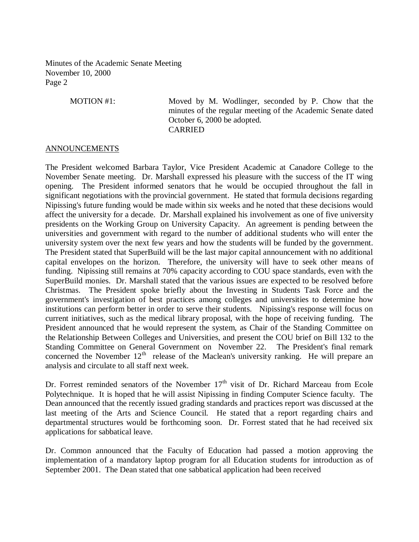MOTION #1: Moved by M. Wodlinger, seconded by P. Chow that the minutes of the regular meeting of the Academic Senate dated October 6, 2000 be adopted. CARRIED

## ANNOUNCEMENTS

The President welcomed Barbara Taylor, Vice President Academic at Canadore College to the November Senate meeting. Dr. Marshall expressed his pleasure with the success of the IT wing opening. The President informed senators that he would be occupied throughout the fall in significant negotiations with the provincial government. He stated that formula decisions regarding Nipissing's future funding would be made within six weeks and he noted that these decisions would affect the university for a decade. Dr. Marshall explained his involvement as one of five university presidents on the Working Group on University Capacity. An agreement is pending between the universities and government with regard to the number of additional students who will enter the university system over the next few years and how the students will be funded by the government. The President stated that SuperBuild will be the last major capital announcement with no additional capital envelopes on the horizon. Therefore, the university will have to seek other means of funding. Nipissing still remains at 70% capacity according to COU space standards, even with the SuperBuild monies. Dr. Marshall stated that the various issues are expected to be resolved before Christmas. The President spoke briefly about the Investing in Students Task Force and the government's investigation of best practices among colleges and universities to determine how institutions can perform better in order to serve their students. Nipissing's response will focus on current initiatives, such as the medical library proposal, with the hope of receiving funding. The President announced that he would represent the system, as Chair of the Standing Committee on the Relationship Between Colleges and Universities, and present the COU brief on Bill 132 to the Standing Committee on General Government on November 22. The President's final remark concerned the November  $12<sup>th</sup>$  release of the Maclean's university ranking. He will prepare an analysis and circulate to all staff next week.

Dr. Forrest reminded senators of the November  $17<sup>th</sup>$  visit of Dr. Richard Marceau from Ecole Polytechnique. It is hoped that he will assist Nipissing in finding Computer Science faculty. The Dean announced that the recently issued grading standards and practices report was discussed at the last meeting of the Arts and Science Council. He stated that a report regarding chairs and departmental structures would be forthcoming soon. Dr. Forrest stated that he had received six applications for sabbatical leave.

Dr. Common announced that the Faculty of Education had passed a motion approving the implementation of a mandatory laptop program for all Education students for introduction as of September 2001. The Dean stated that one sabbatical application had been received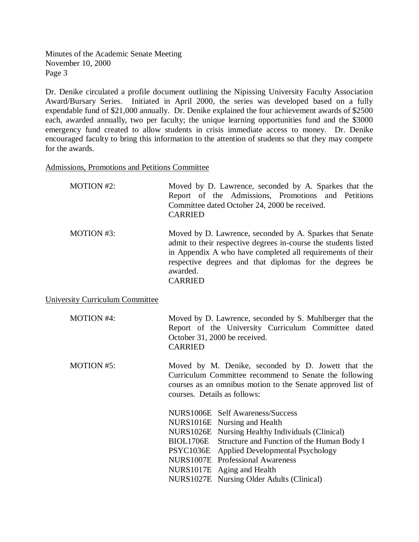Dr. Denike circulated a profile document outlining the Nipissing University Faculty Association Award/Bursary Series. Initiated in April 2000, the series was developed based on a fully expendable fund of \$21,000 annually. Dr. Denike explained the four achievement awards of \$2500 each, awarded annually, two per faculty; the unique learning opportunities fund and the \$3000 emergency fund created to allow students in crisis immediate access to money. Dr. Denike encouraged faculty to bring this information to the attention of students so that they may compete for the awards.

Admissions, Promotions and Petitions Committee

| <b>MOTION #2:</b> | Moved by D. Lawrence, seconded by A. Sparkes that the<br>Report of the Admissions, Promotions and Petitions<br>Committee dated October 24, 2000 be received.<br><b>CARRIED</b>                                                                                              |
|-------------------|-----------------------------------------------------------------------------------------------------------------------------------------------------------------------------------------------------------------------------------------------------------------------------|
| MOTION #3:        | Moved by D. Lawrence, seconded by A. Sparkes that Senate<br>admit to their respective degrees in-course the students listed<br>in Appendix A who have completed all requirements of their<br>respective degrees and that diplomas for the degrees be<br>awarded.<br>CARRIED |

University Curriculum Committee

| <b>MOTION #4:</b> | <b>CARRIED</b>               | Moved by D. Lawrence, seconded by S. Muhlberger that the<br>Report of the University Curriculum Committee dated<br>October 31, 2000 be received.                            |
|-------------------|------------------------------|-----------------------------------------------------------------------------------------------------------------------------------------------------------------------------|
| <b>MOTION #5:</b> | courses. Details as follows: | Moved by M. Denike, seconded by D. Jowett that the<br>Curriculum Committee recommend to Senate the following<br>courses as an omnibus motion to the Senate approved list of |
|                   |                              | NURS1006E Self Awareness/Success<br>NURS1016E Nursing and Health                                                                                                            |
|                   |                              | NURS1026E Nursing Healthy Individuals (Clinical)                                                                                                                            |
|                   |                              | BIOL1706E Structure and Function of the Human Body I                                                                                                                        |
|                   |                              | PSYC1036E Applied Developmental Psychology                                                                                                                                  |
|                   |                              | <b>NURS1007E</b> Professional Awareness                                                                                                                                     |
|                   |                              | NURS1017E Aging and Health                                                                                                                                                  |
|                   |                              | NURS1027E Nursing Older Adults (Clinical)                                                                                                                                   |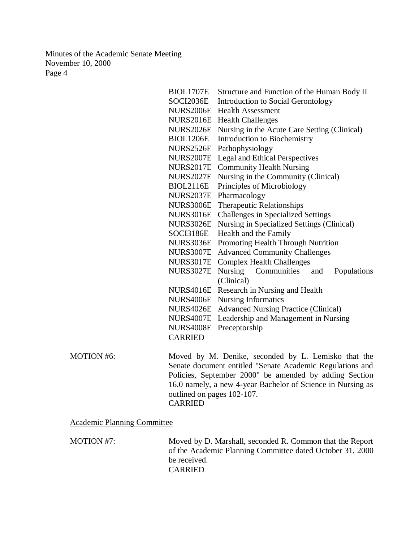| <b>BIOL1707E</b> | Structure and Function of the Human Body II      |
|------------------|--------------------------------------------------|
| SOCI2036E        | <b>Introduction to Social Gerontology</b>        |
| <b>NURS2006E</b> | <b>Health Assessment</b>                         |
| <b>NURS2016E</b> | <b>Health Challenges</b>                         |
| <b>NURS2026E</b> | Nursing in the Acute Care Setting (Clinical)     |
| <b>BIOL1206E</b> | <b>Introduction to Biochemistry</b>              |
| <b>NURS2526E</b> | Pathophysiology                                  |
| <b>NURS2007E</b> | <b>Legal and Ethical Perspectives</b>            |
| <b>NURS2017E</b> | <b>Community Health Nursing</b>                  |
| <b>NURS2027E</b> | Nursing in the Community (Clinical)              |
| <b>BIOL2116E</b> | Principles of Microbiology                       |
| <b>NURS2037E</b> | Pharmacology                                     |
| <b>NURS3006E</b> | <b>Therapeutic Relationships</b>                 |
| <b>NURS3016E</b> | <b>Challenges in Specialized Settings</b>        |
| <b>NURS3026E</b> | Nursing in Specialized Settings (Clinical)       |
| SOCI3186E        | Health and the Family                            |
| <b>NURS3036E</b> | Promoting Health Through Nutrition               |
| <b>NURS3007E</b> | <b>Advanced Community Challenges</b>             |
| <b>NURS3017E</b> | <b>Complex Health Challenges</b>                 |
| <b>NURS3027E</b> | <b>Nursing</b><br>Communities and<br>Populations |
|                  | (Clinical)                                       |
| <b>NURS4016E</b> | Research in Nursing and Health                   |
| <b>NURS4006E</b> | <b>Nursing Informatics</b>                       |
| <b>NURS4026E</b> | <b>Advanced Nursing Practice (Clinical)</b>      |
| <b>NURS4007E</b> | Leadership and Management in Nursing             |
| <b>NURS4008E</b> | Preceptorship                                    |
| <b>CARRIED</b>   |                                                  |
|                  |                                                  |

MOTION #6: Moved by M. Denike, seconded by L. Lemisko that the Senate document entitled "Senate Academic Regulations and Policies, September 2000" be amended by adding Section 16.0 namely, a new 4-year Bachelor of Science in Nursing as outlined on pages 102-107. CARRIED

## Academic Planning Committee

MOTION #7: Moved by D. Marshall, seconded R. Common that the Report of the Academic Planning Committee dated October 31, 2000 be received.

CARRIED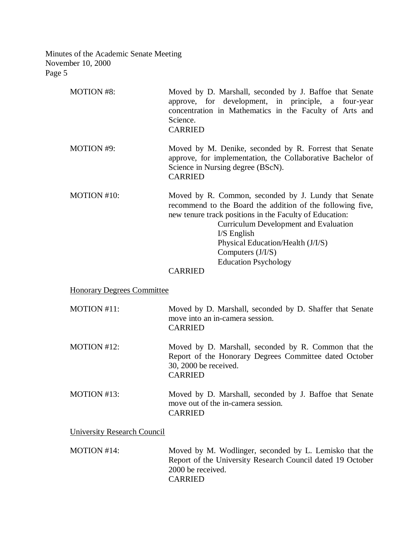| <b>MOTION #8:</b>                  | Moved by D. Marshall, seconded by J. Baffoe that Senate<br>approve, for development, in principle, a four-year<br>concentration in Mathematics in the Faculty of Arts and<br>Science.<br><b>CARRIED</b>                                                                                                                                                     |
|------------------------------------|-------------------------------------------------------------------------------------------------------------------------------------------------------------------------------------------------------------------------------------------------------------------------------------------------------------------------------------------------------------|
| MOTION #9:                         | Moved by M. Denike, seconded by R. Forrest that Senate<br>approve, for implementation, the Collaborative Bachelor of<br>Science in Nursing degree (BScN).<br><b>CARRIED</b>                                                                                                                                                                                 |
| MOTION #10:                        | Moved by R. Common, seconded by J. Lundy that Senate<br>recommend to the Board the addition of the following five,<br>new tenure track positions in the Faculty of Education:<br><b>Curriculum Development and Evaluation</b><br>$I/S$ English<br>Physical Education/Health (J/I/S)<br>Computers $(J/I/S)$<br><b>Education Psychology</b><br><b>CARRIED</b> |
| <b>Honorary Degrees Committee</b>  |                                                                                                                                                                                                                                                                                                                                                             |
| MOTION #11:                        | Moved by D. Marshall, seconded by D. Shaffer that Senate<br>move into an in-camera session.<br><b>CARRIED</b>                                                                                                                                                                                                                                               |
| MOTION #12:                        | Moved by D. Marshall, seconded by R. Common that the<br>Report of the Honorary Degrees Committee dated October<br>30, 2000 be received.<br><b>CARRIED</b>                                                                                                                                                                                                   |
| MOTION #13:                        | Moved by D. Marshall, seconded by J. Baffoe that Senate<br>move out of the in-camera session.<br><b>CARRIED</b>                                                                                                                                                                                                                                             |
| <b>University Research Council</b> |                                                                                                                                                                                                                                                                                                                                                             |

MOTION #14: Moved by M. Wodlinger, seconded by L. Lemisko that the Report of the University Research Council dated 19 October 2000 be received. CARRIED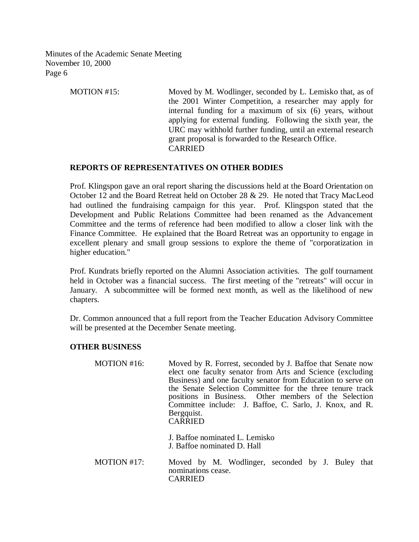> MOTION #15: Moved by M. Wodlinger, seconded by L. Lemisko that, as of the 2001 Winter Competition, a researcher may apply for internal funding for a maximum of six (6) years, without applying for external funding. Following the sixth year, the URC may withhold further funding, until an external research grant proposal is forwarded to the Research Office. CARRIED

# **REPORTS OF REPRESENTATIVES ON OTHER BODIES**

Prof. Klingspon gave an oral report sharing the discussions held at the Board Orientation on October 12 and the Board Retreat held on October 28 & 29. He noted that Tracy MacLeod had outlined the fundraising campaign for this year. Prof. Klingspon stated that the Development and Public Relations Committee had been renamed as the Advancement Committee and the terms of reference had been modified to allow a closer link with the Finance Committee. He explained that the Board Retreat was an opportunity to engage in excellent plenary and small group sessions to explore the theme of "corporatization in higher education."

Prof. Kundrats briefly reported on the Alumni Association activities. The golf tournament held in October was a financial success. The first meeting of the "retreats" will occur in January. A subcommittee will be formed next month, as well as the likelihood of new chapters.

Dr. Common announced that a full report from the Teacher Education Advisory Committee will be presented at the December Senate meeting.

## **OTHER BUSINESS**

| MOTION #16: | Moved by R. Forrest, seconded by J. Baffoe that Senate now<br>elect one faculty senator from Arts and Science (excluding<br>Business) and one faculty senator from Education to serve on<br>the Senate Selection Committee for the three tenure track<br>positions in Business. Other members of the Selection<br>Committee include: J. Baffoe, C. Sarlo, J. Knox, and R.<br>Bergquist.<br><b>CARRIED</b> |  |
|-------------|-----------------------------------------------------------------------------------------------------------------------------------------------------------------------------------------------------------------------------------------------------------------------------------------------------------------------------------------------------------------------------------------------------------|--|
|             | J. Baffoe nominated L. Lemisko<br>J. Baffoe nominated D. Hall                                                                                                                                                                                                                                                                                                                                             |  |
| MOTION #17: | Moved by M. Wodlinger, seconded by J. Buley that<br>nominations cease.<br>CARRIED                                                                                                                                                                                                                                                                                                                         |  |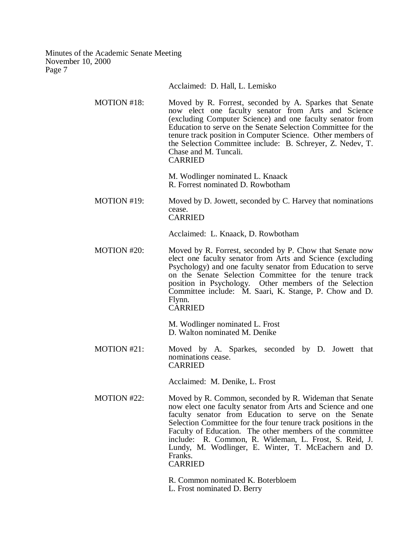Acclaimed: D. Hall, L. Lemisko

MOTION #18: Moved by R. Forrest, seconded by A. Sparkes that Senate now elect one faculty senator from Arts and Science (excluding Computer Science) and one faculty senator from Education to serve on the Senate Selection Committee for the tenure track position in Computer Science. Other members of the Selection Committee include: B. Schreyer, Z. Nedev, T. Chase and M. Tuncali. CARRIED

> M. Wodlinger nominated L. Knaack R. Forrest nominated D. Rowbotham

MOTION #19: Moved by D. Jowett, seconded by C. Harvey that nominations cease. CARRIED

Acclaimed: L. Knaack, D. Rowbotham

MOTION #20: Moved by R. Forrest, seconded by P. Chow that Senate now elect one faculty senator from Arts and Science (excluding Psychology) and one faculty senator from Education to serve on the Senate Selection Committee for the tenure track position in Psychology. Other members of the Selection Committee include: M. Saari, K. Stange, P. Chow and D. Flynn. CARRIED

> M. Wodlinger nominated L. Frost D. Walton nominated M. Denike

MOTION #21: Moved by A. Sparkes, seconded by D. Jowett that nominations cease. CARRIED

Acclaimed: M. Denike, L. Frost

MOTION #22: Moved by R. Common, seconded by R. Wideman that Senate now elect one faculty senator from Arts and Science and one faculty senator from Education to serve on the Senate Selection Committee for the four tenure track positions in the Faculty of Education. The other members of the committee include: R. Common, R. Wideman, L. Frost, S. Reid, J. Lundy, M. Wodlinger, E. Winter, T. McEachern and D. Franks. CARRIED

R. Common nominated K. Boterbloem

L. Frost nominated D. Berry